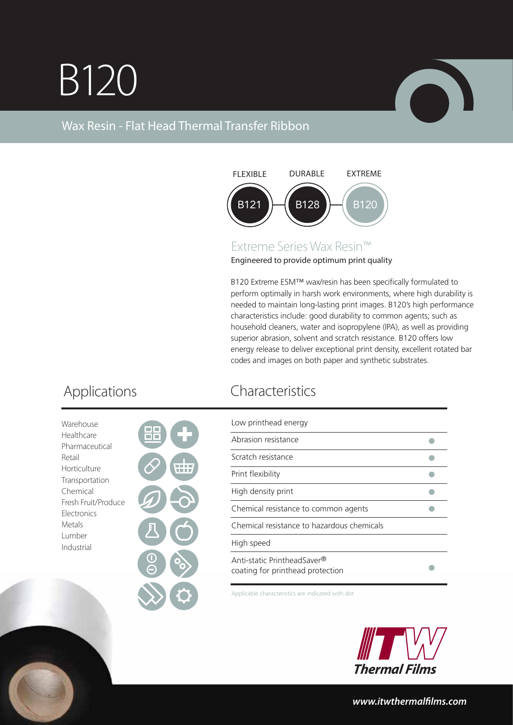## B120



## Wax Resin - Flat Head Thermal Transfer Ribbon



## Extreme Series Wax Resin™

Engineered to provide optimum print quality

B120 Extreme ESM™ wax/resin has been specifically formulated to perform optimally in harsh work environments, where high durability is needed to maintain long-lasting print images. B120's high performance characteristics include: good durability to common agents; such as household cleaners, water and isopropylene (IPA), as well as providing superior abrasion, solvent and scratch resistance. B120 offers low energy release to deliver exceptional print density, excellent rotated bar codes and images on both paper and synthetic substrates.

| Warehouse           |  |
|---------------------|--|
| Healthcare          |  |
| Pharmaceutical      |  |
| Retail              |  |
| Horticulture        |  |
| Transportation      |  |
| Chemical            |  |
| Fresh Fruit/Produce |  |
| Electronics         |  |
| Metals              |  |
| Lumber              |  |
| Industrial          |  |
|                     |  |
|                     |  |



| Low printhead energy                                            |  |
|-----------------------------------------------------------------|--|
| Abrasion resistance                                             |  |
| Scratch resistance                                              |  |
| Print flexibility                                               |  |
| High density print                                              |  |
| Chemical resistance to common agents                            |  |
| Chemical resistance to hazardous chemicals                      |  |
| High speed                                                      |  |
| Anti-static PrintheadSaver®<br>coating for printhead protection |  |

Applicable characteristics are indicated with dot